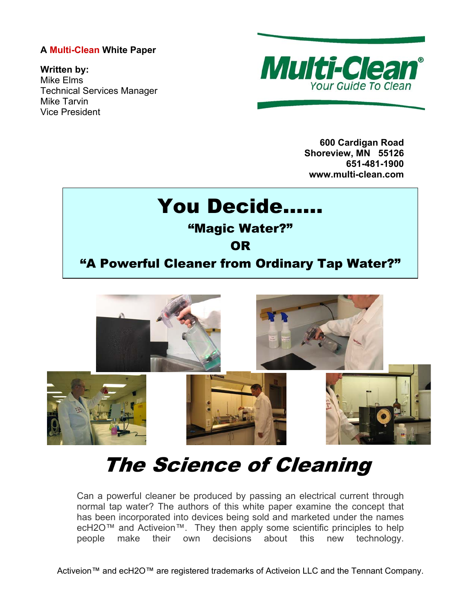# **A Multi-Clean White Paper**

**Written by:**  Mike Elms Technical Services Manager Mike Tarvin Vice President



**600 Cardigan Road Shoreview, MN 55126 651-481-1900 www.multi-clean.com** 

# You Decide…… "Magic Water?" **OR** "A Powerful Cleaner from Ordinary Tap Water?"



# The Science of Cleaning

Can a powerful cleaner be produced by passing an electrical current through normal tap water? The authors of this white paper examine the concept that has been incorporated into devices being sold and marketed under the names ecH2O™ and Activeion™. They then apply some scientific principles to help people make their own decisions about this new technology.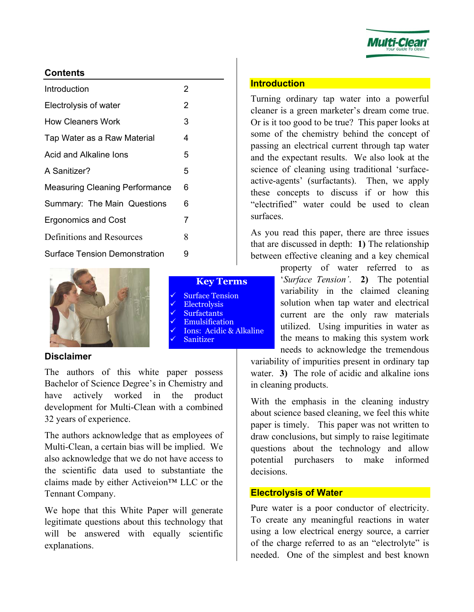

# **Contents**

| Introduction                          | 2 |  |
|---------------------------------------|---|--|
| Electrolysis of water                 | 2 |  |
| <b>How Cleaners Work</b>              | 3 |  |
| Tap Water as a Raw Material           | 4 |  |
| Acid and Alkaline lons                | 5 |  |
| A Sanitizer?                          | 5 |  |
| <b>Measuring Cleaning Performance</b> | 6 |  |
| Summary: The Main Questions           | 6 |  |
| <b>Ergonomics and Cost</b>            | 7 |  |
| Definitions and Resources             | 8 |  |
| <b>Surface Tension Demonstration</b>  | 9 |  |
|                                       |   |  |



# **Disclaimer**

The authors of this white paper possess Bachelor of Science Degree's in Chemistry and have actively worked in the product development for Multi-Clean with a combined 32 years of experience.

The authors acknowledge that as employees of Multi-Clean, a certain bias will be implied. We also acknowledge that we do not have access to the scientific data used to substantiate the claims made by either Activeion™ LLC or the Tennant Company.

We hope that this White Paper will generate legitimate questions about this technology that will be answered with equally scientific explanations.

#### **Introduction**

Turning ordinary tap water into a powerful cleaner is a green marketer's dream come true. Or is it too good to be true? This paper looks at some of the chemistry behind the concept of passing an electrical current through tap water and the expectant results. We also look at the science of cleaning using traditional 'surfaceactive-agents' (surfactants). Then, we apply these concepts to discuss if or how this "electrified" water could be used to clean surfaces.

As you read this paper, there are three issues that are discussed in depth: **1)** The relationship between effective cleaning and a key chemical

> property of water referred to as '*Surface Tension'*. **2)** The potential variability in the claimed cleaning solution when tap water and electrical current are the only raw materials utilized. Using impurities in water as the means to making this system work needs to acknowledge the tremendous

variability of impurities present in ordinary tap water. **3)** The role of acidic and alkaline ions in cleaning products.

With the emphasis in the cleaning industry about science based cleaning, we feel this white paper is timely. This paper was not written to draw conclusions, but simply to raise legitimate questions about the technology and allow potential purchasers to make informed decisions.

#### **Electrolysis of Water**

Pure water is a poor conductor of electricity. To create any meaningful reactions in water using a low electrical energy source, a carrier of the charge referred to as an "electrolyte" is needed. One of the simplest and best known

#### **Key Terms Surface Tension** Electrolysis **Surfactants Emulsification** Ions: Acidic & Alkaline

**Sanitizer**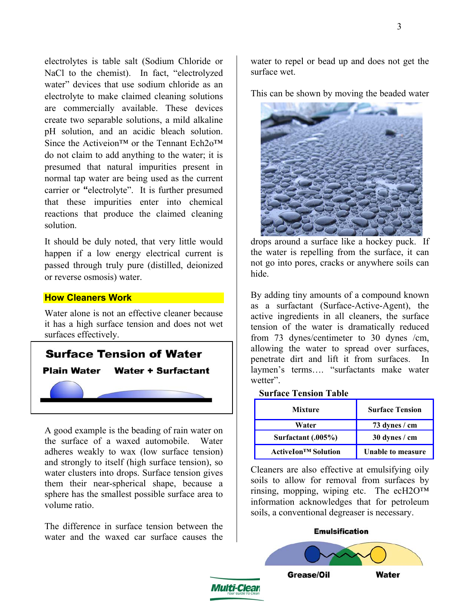electrolytes is table salt (Sodium Chloride or NaCl to the chemist). In fact, "electrolyzed water" devices that use sodium chloride as an electrolyte to make claimed cleaning solutions are commercially available. These devices create two separable solutions, a mild alkaline pH solution, and an acidic bleach solution. Since the Activeion<sup>™</sup> or the Tennant Ech2o™ do not claim to add anything to the water; it is presumed that natural impurities present in normal tap water are being used as the current carrier or **"**electrolyte". It is further presumed that these impurities enter into chemical reactions that produce the claimed cleaning solution.

It should be duly noted, that very little would happen if a low energy electrical current is passed through truly pure (distilled, deionized or reverse osmosis) water.

# **How Cleaners Work**

Water alone is not an effective cleaner because it has a high surface tension and does not wet surfaces effectively.



A good example is the beading of rain water on the surface of a waxed automobile. Water adheres weakly to wax (low surface tension) and strongly to itself (high surface tension), so water clusters into drops. Surface tension gives them their near-spherical shape, because a sphere has the smallest possible surface area to volume ratio.

The difference in surface tension between the water and the waxed car surface causes the water to repel or bead up and does not get the surface wet.

This can be shown by moving the beaded water



drops around a surface like a hockey puck. If the water is repelling from the surface, it can not go into pores, cracks or anywhere soils can hide.

By adding tiny amounts of a compound known as a surfactant (Surface-Active-Agent), the active ingredients in all cleaners, the surface tension of the water is dramatically reduced from 73 dynes/centimeter to 30 dynes /cm, allowing the water to spread over surfaces, penetrate dirt and lift it from surfaces. In laymen's terms…. "surfactants make water wetter".

#### **Surface Tension Table**

| <b>Mixture</b>             | <b>Surface Tension</b> |  |
|----------------------------|------------------------|--|
| Water                      | 73 dynes / cm          |  |
| Surfactant (.005%)         | 30 dynes / cm          |  |
| <b>ActiveIon™ Solution</b> | Unable to measure      |  |

Cleaners are also effective at emulsifying oily soils to allow for removal from surfaces by rinsing, mopping, wiping etc. The ecH2O™ information acknowledges that for petroleum soils, a conventional degreaser is necessary.

#### **Emulsification**

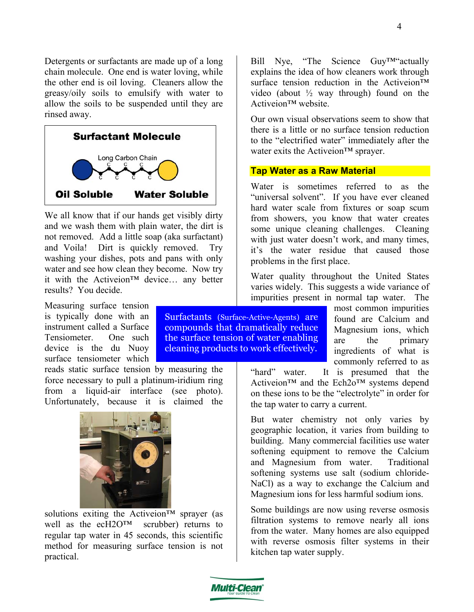Detergents or surfactants are made up of a long chain molecule. One end is water loving, while the other end is oil loving. Cleaners allow the greasy/oily soils to emulsify with water to allow the soils to be suspended until they are rinsed away.



We all know that if our hands get visibly dirty and we wash them with plain water, the dirt is not removed. Add a little soap (aka surfactant) and Voila! Dirt is quickly removed. Try washing your dishes, pots and pans with only water and see how clean they become. Now try it with the Activeion™ device… any better results? You decide.

Measuring surface tension is typically done with an instrument called a Surface Tensiometer. One such device is the du Nuoy surface tensiometer which

reads static surface tension by measuring the force necessary to pull a platinum-iridium ring from a liquid-air interface (see photo). Unfortunately, because it is claimed the



solutions exiting the Activeion<sup>™</sup> sprayer (as well as the ecH2O™ scrubber) returns to regular tap water in 45 seconds, this scientific method for measuring surface tension is not practical.

Bill Nye, "The Science Guy™"actually explains the idea of how cleaners work through surface tension reduction in the Activeion<sup>™</sup> video (about  $\frac{1}{2}$  way through) found on the Activeion™ website.

Our own visual observations seem to show that there is a little or no surface tension reduction to the "electrified water" immediately after the water exits the Activeion™ sprayer.

# **Tap Water as a Raw Material**

Water is sometimes referred to as the "universal solvent". If you have ever cleaned hard water scale from fixtures or soap scum from showers, you know that water creates some unique cleaning challenges. Cleaning with just water doesn't work, and many times, it's the water residue that caused those problems in the first place.

Water quality throughout the United States varies widely. This suggests a wide variance of impurities present in normal tap water. The

most common impurities found are Calcium and Magnesium ions, which are the primary ingredients of what is commonly referred to as Surfactants (Surface-Active-Agents) are compounds that dramatically reduce the surface tension of water enabling cleaning products to work effectively.

"hard" water. It is presumed that the Activeion™ and the Ech2o™ systems depend on these ions to be the "electrolyte" in order for the tap water to carry a current.

But water chemistry not only varies by geographic location, it varies from building to building. Many commercial facilities use water softening equipment to remove the Calcium and Magnesium from water. Traditional softening systems use salt (sodium chloride-NaCl) as a way to exchange the Calcium and Magnesium ions for less harmful sodium ions.

Some buildings are now using reverse osmosis filtration systems to remove nearly all ions from the water. Many homes are also equipped with reverse osmosis filter systems in their kitchen tap water supply.

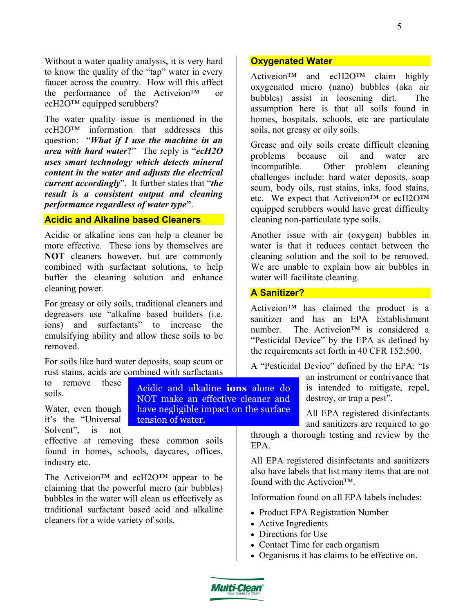Without a water quality analysis, it is very hard to know the quality of the "tap" water in every faucet across the country. How will this affect the performance of the Activeion™ or ecH2O™ equipped scrubbers?

The water quality issue is mentioned in the ecH2O™ information that addresses this question: "*What if I use the machine in an area with hard water***?**" The reply is "*ecH2O uses smart technology which detects mineral content in the water and adjusts the electrical current accordingly*". It further states that "*the result is a consistent output and cleaning performance regardless of water type***"**.

# **Acidic and Alkaline based Cleaners**

Acidic or alkaline ions can help a cleaner be more effective. These ions by themselves are **NOT** cleaners however, but are commonly combined with surfactant solutions, to help buffer the cleaning solution and enhance cleaning power.

For greasy or oily soils, traditional cleaners and degreasers use "alkaline based builders (i.e. ions) and surfactants" to increase the emulsifying ability and allow these soils to be removed.

For soils like hard water deposits, soap scum or rust stains, acids are combined with surfactants

to remove these soils. Water, even though it's the "Universal Solvent", is not effective at removing these common soils found in homes, schools, daycares, offices, industry etc. EPA. Acidic and alkaline **ions** alone do NOT make an effective cleaner and have negligible impact on the surface tension of water.

The Activeion™ and ecH2O™ appear to be claiming that the powerful micro (air bubbles) bubbles in the water will clean as effectively as traditional surfactant based acid and alkaline cleaners for a wide variety of soils.

#### **Oxygenated Water**

Activeion™ and ecH2O™ claim highly oxygenated micro (nano) bubbles (aka air bubbles) assist in loosening dirt. The assumption here is that all soils found in homes, hospitals, schools, etc are particulate soils, not greasy or oily soils.

Grease and oily soils create difficult cleaning problems because oil and water are incompatible. Other problem cleaning challenges include: hard water deposits, soap scum, body oils, rust stains, inks, food stains, etc. We expect that Activeion™ or ecH2O™ equipped scrubbers would have great difficulty cleaning non-particulate type soils.

Another issue with air (oxygen) bubbles in water is that it reduces contact between the cleaning solution and the soil to be removed. We are unable to explain how air bubbles in water will facilitate cleaning.

#### **A Sanitizer?**

Activeion™ has claimed the product is a sanitizer and has an EPA Establishment number. The Activeion™ is considered a "Pesticidal Device" by the EPA as defined by the requirements set forth in 40 CFR 152.500.

A "Pesticidal Device" defined by the EPA: "Is

an instrument or contrivance that is intended to mitigate, repel, destroy, or trap a pest".

All EPA registered disinfectants and sanitizers are required to go

through a thorough testing and review by the

All EPA registered disinfectants and sanitizers also have labels that list many items that are not found with the Activeion™.

Information found on all EPA labels includes:

- Product EPA Registration Number
- Active Ingredients
- Directions for Use
- Contact Time for each organism
- Organisms it has claims to be effective on.

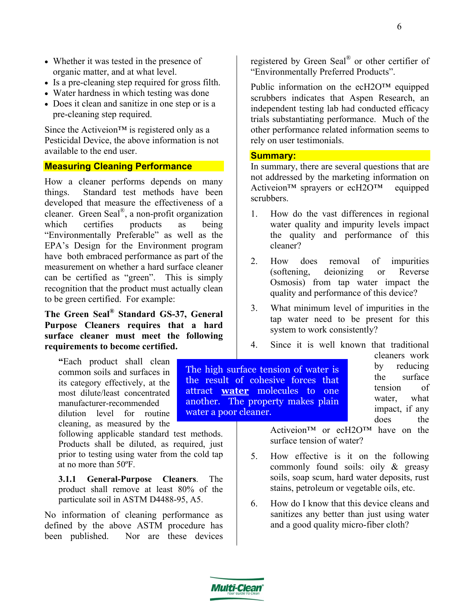- Whether it was tested in the presence of organic matter, and at what level.
- Is a pre-cleaning step required for gross filth.
- Water hardness in which testing was done
- Does it clean and sanitize in one step or is a pre-cleaning step required.

Since the Activeion™ is registered only as a Pesticidal Device, the above information is not available to the end user.

#### **Measuring Cleaning Performance**

How a cleaner performs depends on many things. Standard test methods have been developed that measure the effectiveness of a cleaner. Green Seal®, a non-profit organization which certifies products as being "Environmentally Preferable" as well as the EPA's Design for the Environment program have both embraced performance as part of the measurement on whether a hard surface cleaner can be certified as "green". This is simply recognition that the product must actually clean to be green certified. For example:

# **The Green Seal® Standard GS-37, General Purpose Cleaners requires that a hard surface cleaner must meet the following requirements to become certified.**

**"**Each product shall clean common soils and surfaces in its category effectively, at the most dilute/least concentrated manufacturer-recommended dilution level for routine cleaning, as measured by the

following applicable standard test methods. Products shall be diluted, as required, just prior to testing using water from the cold tap at no more than 50ºF.

**3.1.1 General-Purpose Cleaners**. The product shall remove at least 80% of the particulate soil in ASTM D4488-95, A5.

No information of cleaning performance as defined by the above ASTM procedure has been published. Nor are these devices

registered by Green Seal® or other certifier of "Environmentally Preferred Products".

Public information on the ecH2O™ equipped scrubbers indicates that Aspen Research, an independent testing lab had conducted efficacy trials substantiating performance. Much of the other performance related information seems to rely on user testimonials.

#### **Summary:**

In summary, there are several questions that are not addressed by the marketing information on Activeion™ sprayers or ecH2O™ equipped scrubbers.

- 1. How do the vast differences in regional water quality and impurity levels impact the quality and performance of this cleaner?
- 2. How does removal of impurities (softening, deionizing or Reverse Osmosis) from tap water impact the quality and performance of this device?
- 3. What minimum level of impurities in the tap water need to be present for this system to work consistently?
- 4. Since it is well known that traditional

The high surface tension of water is the result of cohesive forces that attract **water** molecules to one another. The property makes plain water a poor cleaner.

cleaners work by reducing the surface tension of water, what impact, if any does the

Activeion™ or ecH2O™ have on the surface tension of water?

- 5. How effective is it on the following commonly found soils: oily & greasy soils, soap scum, hard water deposits, rust stains, petroleum or vegetable oils, etc.
- 6. How do I know that this device cleans and sanitizes any better than just using water and a good quality micro-fiber cloth?

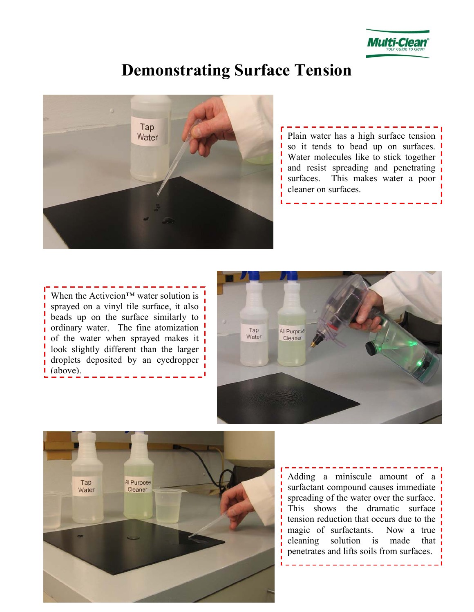

# **Demonstrating Surface Tension**



 $\frac{1}{2}$  Plain water has a high surface tension so it tends to bead up on surfaces. Water molecules like to stick together and resist spreading and penetrating surfaces. This makes water a poor cleaner on surfaces.

When the Activeion™ water solution is sprayed on a vinyl tile surface, it also beads up on the surface similarly to  $\blacksquare$ ordinary water. The fine atomization of the water when sprayed makes it look slightly different than the larger droplets deposited by an eyedropper (above).





Adding a miniscule amount of a surfactant compound causes immediate spreading of the water over the surface. This shows the dramatic surface tension reduction that occurs due to the magic of surfactants. Now a true cleaning solution is made that penetrates and lifts soils from surfaces.